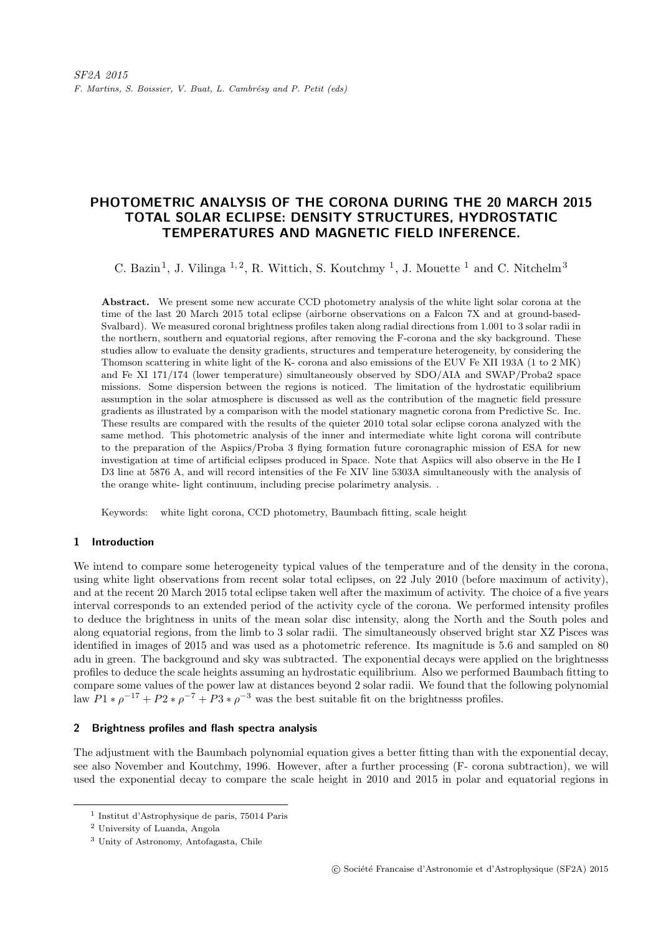# PHOTOMETRIC ANALYSIS OF THE CORONA DURING THE 20 MARCH 2015 TOTAL SOLAR ECLIPSE: DENSITY STRUCTURES, HYDROSTATIC TEMPERATURES AND MAGNETIC FIELD INFERENCE.

C. Bazin<sup>1</sup>, J. Vilinga<sup>1,2</sup>, R. Wittich, S. Koutchmy<sup>1</sup>, J. Mouette<sup>1</sup> and C. Nitchelm<sup>3</sup>

Abstract. We present some new accurate CCD photometry analysis of the white light solar corona at the time of the last 20 March 2015 total eclipse (airborne observations on a Falcon 7X and at ground-based-Svalbard). We measured coronal brightness profiles taken along radial directions from 1.001 to 3 solar radii in the northern, southern and equatorial regions, after removing the F-corona and the sky background. These studies allow to evaluate the density gradients, structures and temperature heterogeneity, by considering the Thomson scattering in white light of the K- corona and also emissions of the EUV Fe XII 193A (1 to 2 MK) and Fe XI 171/174 (lower temperature) simultaneously observed by SDO/AIA and SWAP/Proba2 space missions. Some dispersion between the regions is noticed. The limitation of the hydrostatic equilibrium assumption in the solar atmosphere is discussed as well as the contribution of the magnetic field pressure gradients as illustrated by a comparison with the model stationary magnetic corona from Predictive Sc. Inc. These results are compared with the results of the quieter 2010 total solar eclipse corona analyzed with the same method. This photometric analysis of the inner and intermediate white light corona will contribute to the preparation of the Aspiics/Proba 3 flying formation future coronagraphic mission of ESA for new investigation at time of artificial eclipses produced in Space. Note that Aspiics will also observe in the He I D3 line at 5876 A, and will record intensities of the Fe XIV line 5303A simultaneously with the analysis of the orange white- light continuum, including precise polarimetry analysis. .

Keywords: white light corona, CCD photometry, Baumbach fitting, scale height

# 1 Introduction

We intend to compare some heterogeneity typical values of the temperature and of the density in the corona, using white light observations from recent solar total eclipses, on 22 July 2010 (before maximum of activity), and at the recent 20 March 2015 total eclipse taken well after the maximum of activity. The choice of a five years interval corresponds to an extended period of the activity cycle of the corona. We performed intensity profiles to deduce the brightness in units of the mean solar disc intensity, along the North and the South poles and along equatorial regions, from the limb to 3 solar radii. The simultaneously observed bright star XZ Pisces was identified in images of 2015 and was used as a photometric reference. Its magnitude is 5.6 and sampled on 80 adu in green. The background and sky was subtracted. The exponential decays were applied on the brightnesss profiles to deduce the scale heights assuming an hydrostatic equilibrium. Also we performed Baumbach fitting to compare some values of the power law at distances beyond 2 solar radii. We found that the following polynomial law  $P1 * \rho^{-17} + P2 * \rho^{-7} + P3 * \rho^{-3}$  was the best suitable fit on the brightnesss profiles.

# 2 Brightness profiles and flash spectra analysis

The adjustment with the Baumbach polynomial equation gives a better fitting than with the exponential decay, see also November and Koutchmy, 1996. However, after a further processing (F- corona subtraction), we will used the exponential decay to compare the scale height in 2010 and 2015 in polar and equatorial regions in

<sup>1</sup> Institut d'Astrophysique de paris, 75014 Paris

<sup>2</sup> University of Luanda, Angola

<sup>3</sup> Unity of Astronomy, Antofagasta, Chile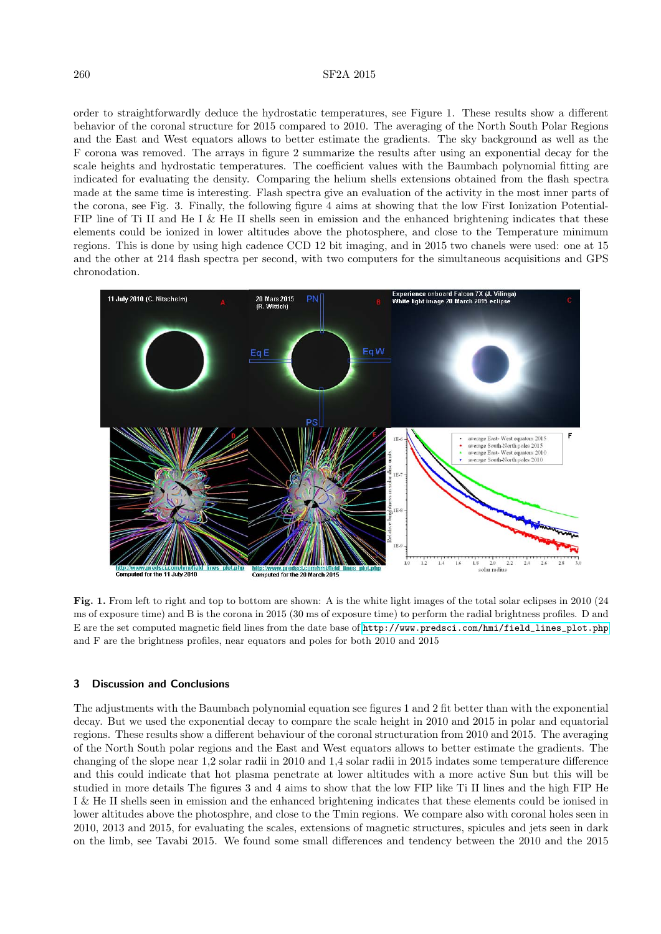#### 260 SF2A 2015

order to straightforwardly deduce the hydrostatic temperatures, see Figure 1. These results show a different behavior of the coronal structure for 2015 compared to 2010. The averaging of the North South Polar Regions and the East and West equators allows to better estimate the gradients. The sky background as well as the F corona was removed. The arrays in figure 2 summarize the results after using an exponential decay for the scale heights and hydrostatic temperatures. The coefficient values with the Baumbach polynomial fitting are indicated for evaluating the density. Comparing the helium shells extensions obtained from the flash spectra made at the same time is interesting. Flash spectra give an evaluation of the activity in the most inner parts of the corona, see Fig. 3. Finally, the following figure 4 aims at showing that the low First Ionization Potential-FIP line of Ti II and He I & He II shells seen in emission and the enhanced brightening indicates that these elements could be ionized in lower altitudes above the photosphere, and close to the Temperature minimum regions. This is done by using high cadence CCD 12 bit imaging, and in 2015 two chanels were used: one at 15 and the other at 214 flash spectra per second, with two computers for the simultaneous acquisitions and GPS chronodation.



Fig. 1. From left to right and top to bottom are shown: A is the white light images of the total solar eclipses in 2010 (24) ms of exposure time) and B is the corona in 2015 (30 ms of exposure time) to perform the radial brightness profiles. D and E are the set computed magnetic field lines from the date base of [http://www.predsci.com/hmi/field\\_lines\\_plot.php](http://www.predsci.com/hmi/field_lines_plot.php) and F are the brightness profiles, near equators and poles for both 2010 and 2015

# 3 Discussion and Conclusions

The adjustments with the Baumbach polynomial equation see figures 1 and 2 fit better than with the exponential decay. But we used the exponential decay to compare the scale height in 2010 and 2015 in polar and equatorial regions. These results show a different behaviour of the coronal structuration from 2010 and 2015. The averaging of the North South polar regions and the East and West equators allows to better estimate the gradients. The changing of the slope near 1,2 solar radii in 2010 and 1,4 solar radii in 2015 indates some temperature difference and this could indicate that hot plasma penetrate at lower altitudes with a more active Sun but this will be studied in more details The figures 3 and 4 aims to show that the low FIP like Ti II lines and the high FIP He I & He II shells seen in emission and the enhanced brightening indicates that these elements could be ionised in lower altitudes above the photosphre, and close to the Tmin regions. We compare also with coronal holes seen in 2010, 2013 and 2015, for evaluating the scales, extensions of magnetic structures, spicules and jets seen in dark on the limb, see Tavabi 2015. We found some small differences and tendency between the 2010 and the 2015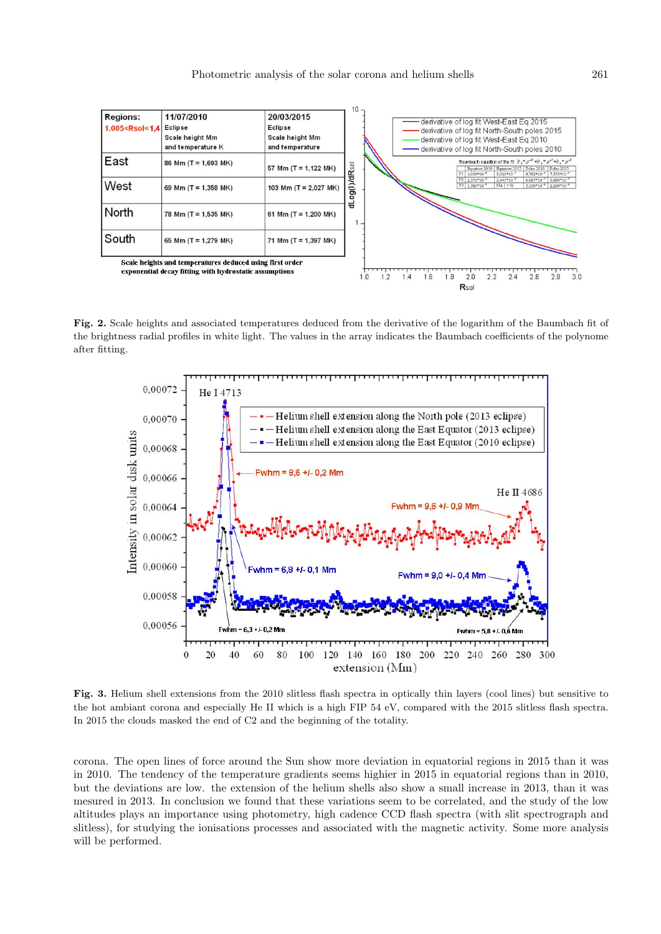

Fig. 2. Scale heights and associated temperatures deduced from the derivative of the logarithm of the Baumbach fit of the brightness radial profiles in white light. The values in the array indicates the Baumbach coefficients of the polynome after fitting.



Fig. 3. Helium shell extensions from the 2010 slitless flash spectra in optically thin layers (cool lines) but sensitive to the hot ambiant corona and especially He II which is a high FIP 54 eV, compared with the 2015 slitless flash spectra. In 2015 the clouds masked the end of C2 and the beginning of the totality.

corona. The open lines of force around the Sun show more deviation in equatorial regions in 2015 than it was in 2010. The tendency of the temperature gradients seems highier in 2015 in equatorial regions than in 2010, but the deviations are low. the extension of the helium shells also show a small increase in 2013, than it was mesured in 2013. In conclusion we found that these variations seem to be correlated, and the study of the low altitudes plays an importance using photometry, high cadence CCD flash spectra (with slit spectrograph and slitless), for studying the ionisations processes and associated with the magnetic activity. Some more analysis will be performed.